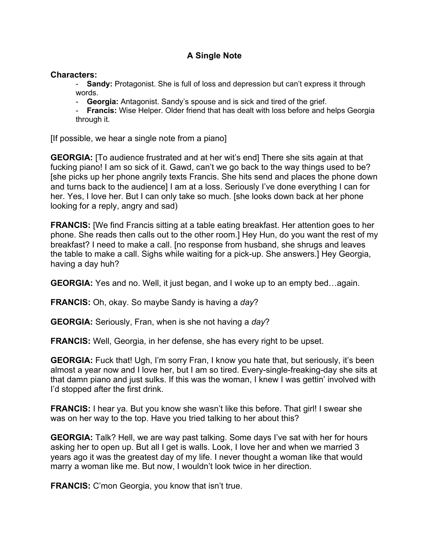## **A Single Note**

## **Characters:**

- **Sandy:** Protagonist. She is full of loss and depression but can't express it through words.

- **Georgia:** Antagonist. Sandy's spouse and is sick and tired of the grief.

- **Francis:** Wise Helper. Older friend that has dealt with loss before and helps Georgia through it.

[If possible, we hear a single note from a piano]

**GEORGIA:** [To audience frustrated and at her wit's end] There she sits again at that fucking piano! I am so sick of it. Gawd, can't we go back to the way things used to be? [she picks up her phone angrily texts Francis. She hits send and places the phone down and turns back to the audience] I am at a loss. Seriously I've done everything I can for her. Yes, I love her. But I can only take so much. [she looks down back at her phone looking for a reply, angry and sad)

**FRANCIS:** [We find Francis sitting at a table eating breakfast. Her attention goes to her phone. She reads then calls out to the other room.] Hey Hun, do you want the rest of my breakfast? I need to make a call. [no response from husband, she shrugs and leaves the table to make a call. Sighs while waiting for a pick-up. She answers.] Hey Georgia, having a day huh?

**GEORGIA:** Yes and no. Well, it just began, and I woke up to an empty bed…again.

**FRANCIS:** Oh, okay. So maybe Sandy is having a *day*?

**GEORGIA:** Seriously, Fran, when is she not having a *day*?

**FRANCIS:** Well, Georgia, in her defense, she has every right to be upset.

**GEORGIA:** Fuck that! Ugh, I'm sorry Fran, I know you hate that, but seriously, it's been almost a year now and I love her, but I am so tired. Every-single-freaking-day she sits at that damn piano and just sulks. If this was the woman, I knew I was gettin' involved with I'd stopped after the first drink.

**FRANCIS:** I hear ya. But you know she wasn't like this before. That girl! I swear she was on her way to the top. Have you tried talking to her about this?

**GEORGIA:** Talk? Hell, we are way past talking. Some days I've sat with her for hours asking her to open up. But all I get is walls. Look, I love her and when we married 3 years ago it was the greatest day of my life. I never thought a woman like that would marry a woman like me. But now, I wouldn't look twice in her direction.

**FRANCIS:** C'mon Georgia, you know that isn't true.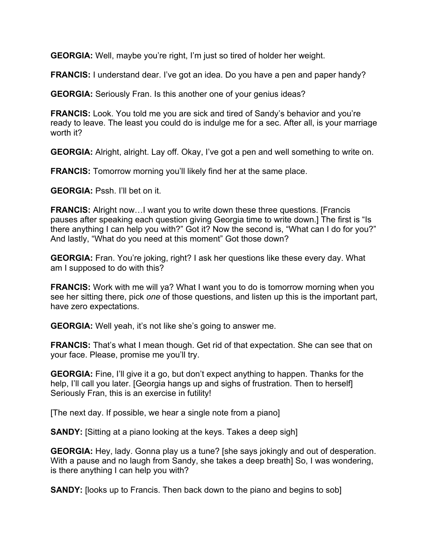**GEORGIA:** Well, maybe you're right, I'm just so tired of holder her weight.

**FRANCIS:** I understand dear. I've got an idea. Do you have a pen and paper handy?

**GEORGIA:** Seriously Fran. Is this another one of your genius ideas?

**FRANCIS:** Look. You told me you are sick and tired of Sandy's behavior and you're ready to leave. The least you could do is indulge me for a sec. After all, is your marriage worth it?

**GEORGIA:** Alright, alright. Lay off. Okay, I've got a pen and well something to write on.

**FRANCIS:** Tomorrow morning you'll likely find her at the same place.

**GEORGIA:** Pssh. I'll bet on it.

**FRANCIS:** Alright now…I want you to write down these three questions. [Francis pauses after speaking each question giving Georgia time to write down.] The first is "Is there anything I can help you with?" Got it? Now the second is, "What can I do for you?" And lastly, "What do you need at this moment" Got those down?

**GEORGIA:** Fran. You're joking, right? I ask her questions like these every day. What am I supposed to do with this?

**FRANCIS:** Work with me will ya? What I want you to do is tomorrow morning when you see her sitting there, pick *one* of those questions, and listen up this is the important part, have zero expectations.

**GEORGIA:** Well yeah, it's not like she's going to answer me.

**FRANCIS:** That's what I mean though. Get rid of that expectation. She can see that on your face. Please, promise me you'll try.

**GEORGIA:** Fine, I'll give it a go, but don't expect anything to happen. Thanks for the help, I'll call you later. [Georgia hangs up and sighs of frustration. Then to herself] Seriously Fran, this is an exercise in futility!

[The next day. If possible, we hear a single note from a piano]

**SANDY:** [Sitting at a piano looking at the keys. Takes a deep sigh]

**GEORGIA:** Hey, lady. Gonna play us a tune? [she says jokingly and out of desperation. With a pause and no laugh from Sandy, she takes a deep breath] So, I was wondering, is there anything I can help you with?

**SANDY:** [looks up to Francis. Then back down to the piano and begins to sob]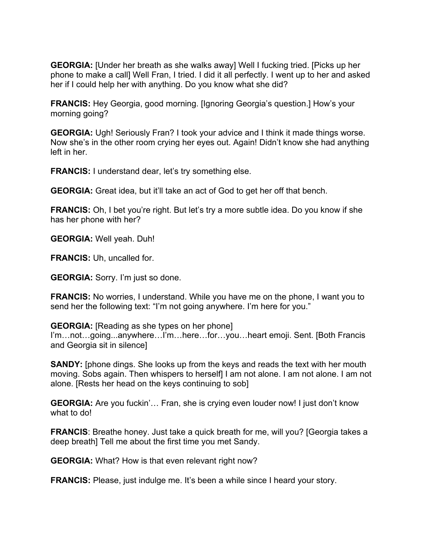**GEORGIA:** [Under her breath as she walks away] Well I fucking tried. [Picks up her phone to make a call] Well Fran, I tried. I did it all perfectly. I went up to her and asked her if I could help her with anything. Do you know what she did?

**FRANCIS:** Hey Georgia, good morning. [Ignoring Georgia's question.] How's your morning going?

**GEORGIA:** Ugh! Seriously Fran? I took your advice and I think it made things worse. Now she's in the other room crying her eyes out. Again! Didn't know she had anything left in her.

**FRANCIS:** I understand dear, let's try something else.

**GEORGIA:** Great idea, but it'll take an act of God to get her off that bench.

**FRANCIS:** Oh, I bet you're right. But let's try a more subtle idea. Do you know if she has her phone with her?

**GEORGIA:** Well yeah. Duh!

**FRANCIS:** Uh, uncalled for.

**GEORGIA:** Sorry. I'm just so done.

**FRANCIS:** No worries, I understand. While you have me on the phone, I want you to send her the following text: "I'm not going anywhere. I'm here for you."

**GEORGIA:** [Reading as she types on her phone] I'm…not…going...anywhere…I'm…here…for…you…heart emoji. Sent. [Both Francis and Georgia sit in silence]

**SANDY:** [phone dings. She looks up from the keys and reads the text with her mouth moving. Sobs again. Then whispers to herself] I am not alone. I am not alone. I am not alone. [Rests her head on the keys continuing to sob]

**GEORGIA:** Are you fuckin'… Fran, she is crying even louder now! I just don't know what to do!

**FRANCIS:** Breathe honey. Just take a quick breath for me, will you? [Georgia takes a deep breath] Tell me about the first time you met Sandy.

**GEORGIA:** What? How is that even relevant right now?

**FRANCIS:** Please, just indulge me. It's been a while since I heard your story.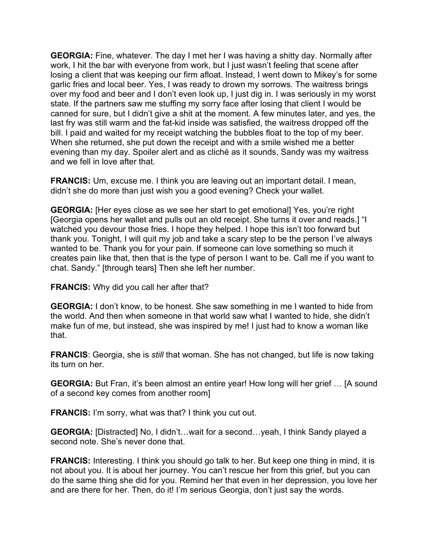**GEORGIA:** Fine, whatever. The day I met her I was having a shitty day. Normally after work, I hit the bar with everyone from work, but I just wasn't feeling that scene after losing a client that was keeping our firm afloat. Instead, I went down to Mikey's for some garlic fries and local beer. Yes, I was ready to drown my sorrows. The waitress brings over my food and beer and I don't even look up, I just dig in. I was seriously in my worst state. If the partners saw me stuffing my sorry face after losing that client I would be canned for sure, but I didn't give a shit at the moment. A few minutes later, and yes, the last fry was still warm and the fat-kid inside was satisfied, the waitress dropped off the bill. I paid and waited for my receipt watching the bubbles float to the top of my beer. When she returned, she put down the receipt and with a smile wished me a better evening than my day. Spoiler alert and as cliché as it sounds, Sandy was my waitress and we fell in love after that.

**FRANCIS:** Um, excuse me. I think you are leaving out an important detail. I mean, didn't she do more than just wish you a good evening? Check your wallet.

**GEORGIA:** [Her eyes close as we see her start to get emotional] Yes, you're right [Georgia opens her wallet and pulls out an old receipt. She turns it over and reads.] "I watched you devour those fries. I hope they helped. I hope this isn't too forward but thank you. Tonight, I will quit my job and take a scary step to be the person I've always wanted to be. Thank you for your pain. If someone can love something so much it creates pain like that, then that is the type of person I want to be. Call me if you want to chat. Sandy." [through tears] Then she left her number.

**FRANCIS:** Why did you call her after that?

**GEORGIA:** I don't know, to be honest. She saw something in me I wanted to hide from the world. And then when someone in that world saw what I wanted to hide, she didn't make fun of me, but instead, she was inspired by me! I just had to know a woman like that.

**FRANCIS**: Georgia, she is *still* that woman. She has not changed, but life is now taking its turn on her.

**GEORGIA:** But Fran, it's been almost an entire year! How long will her grief … [A sound of a second key comes from another room]

**FRANCIS:** I'm sorry, what was that? I think you cut out.

**GEORGIA:** [Distracted] No, I didn't…wait for a second…yeah, I think Sandy played a second note. She's never done that.

**FRANCIS:** Interesting. I think you should go talk to her. But keep one thing in mind, it is not about you. It is about her journey. You can't rescue her from this grief, but you can do the same thing she did for you. Remind her that even in her depression, you love her and are there for her. Then, do it! I'm serious Georgia, don't just say the words.